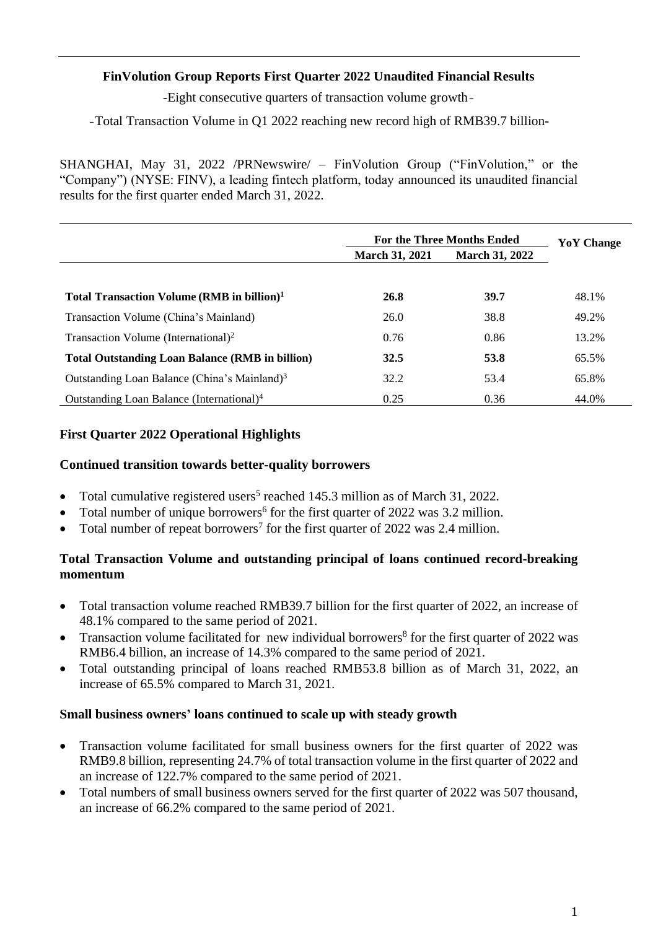# **FinVolution Group Reports First Quarter 2022 Unaudited Financial Results**

-Eight consecutive quarters of transaction volume growth-

-Total Transaction Volume in Q1 2022 reaching new record high of RMB39.7 billion-

SHANGHAI, May 31, 2022 /PRNewswire/ – FinVolution Group ("FinVolution," or the "Company") (NYSE: FINV), a leading fintech platform, today announced its unaudited financial results for the first quarter ended March 31, 2022.

|                                                          | For the Three Months Ended |                       | YoY Change |
|----------------------------------------------------------|----------------------------|-----------------------|------------|
|                                                          | <b>March 31, 2021</b>      | <b>March 31, 2022</b> |            |
|                                                          |                            |                       |            |
| Total Transaction Volume (RMB in billion) <sup>1</sup>   | 26.8                       | 39.7                  | 48.1%      |
| Transaction Volume (China's Mainland)                    | 26.0                       | 38.8                  | 49.2%      |
| Transaction Volume (International) <sup>2</sup>          | 0.76                       | 0.86                  | 13.2%      |
| <b>Total Outstanding Loan Balance (RMB in billion)</b>   | 32.5                       | 53.8                  | 65.5%      |
| Outstanding Loan Balance (China's Mainland) <sup>3</sup> | 32.2                       | 53.4                  | 65.8%      |
| Outstanding Loan Balance (International) <sup>4</sup>    | 0.25                       | 0.36                  | 44.0%      |

# **First Quarter 2022 Operational Highlights**

## **Continued transition towards better-quality borrowers**

- Total cumulative registered users<sup>5</sup> reached 145.3 million as of March 31, 2022.
- Total number of unique borrowers<sup>6</sup> for the first quarter of 2022 was 3.2 million.
- Total number of repeat borrowers<sup>7</sup> for the first quarter of 2022 was 2.4 million.

## **Total Transaction Volume and outstanding principal of loans continued record-breaking momentum**

- Total transaction volume reached RMB39.7 billion for the first quarter of 2022, an increase of 48.1% compared to the same period of 2021.
- Transaction volume facilitated for new individual borrowers<sup>8</sup> for the first quarter of 2022 was RMB6.4 billion, an increase of 14.3% compared to the same period of 2021.
- Total outstanding principal of loans reached RMB53.8 billion as of March 31, 2022, an increase of 65.5% compared to March 31, 2021.

#### **Small business owners' loans continued to scale up with steady growth**

- Transaction volume facilitated for small business owners for the first quarter of 2022 was RMB9.8 billion, representing 24.7% of total transaction volume in the first quarter of 2022 and an increase of 122.7% compared to the same period of 2021.
- Total numbers of small business owners served for the first quarter of 2022 was 507 thousand, an increase of 66.2% compared to the same period of 2021.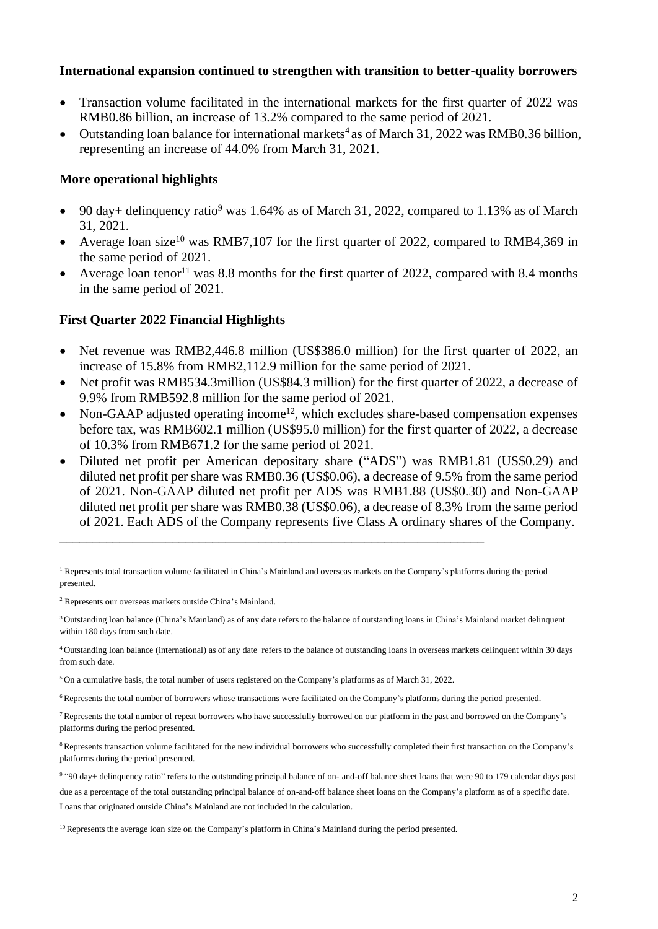#### **International expansion continued to strengthen with transition to better-quality borrowers**

- Transaction volume facilitated in the international markets for the first quarter of 2022 was RMB0.86 billion, an increase of 13.2% compared to the same period of 2021.
- Outstanding loan balance for international markets<sup>4</sup> as of March 31, 2022 was RMB0.36 billion, representing an increase of 44.0% from March 31, 2021.

## **More operational highlights**

- $90$  day+ delinquency ratio<sup>9</sup> was 1.64% as of March 31, 2022, compared to 1.13% as of March 31, 2021.
- Average loan size<sup>10</sup> was RMB7,107 for the first quarter of 2022, compared to RMB4,369 in the same period of 2021.
- Average loan tenor<sup>11</sup> was 8.8 months for the first quarter of 2022, compared with 8.4 months in the same period of 2021.

# **First Quarter 2022 Financial Highlights**

- Net revenue was RMB2,446.8 million (US\$386.0 million) for the first quarter of 2022, an increase of 15.8% from RMB2,112.9 million for the same period of 2021.
- Net profit was RMB534.3million (US\$84.3 million) for the first quarter of 2022, a decrease of 9.9% from RMB592.8 million for the same period of 2021.
- Non-GAAP adjusted operating income<sup>12</sup>, which excludes share-based compensation expenses before tax, was RMB602.1 million (US\$95.0 million) for the first quarter of 2022, a decrease of 10.3% from RMB671.2 for the same period of 2021.
- Diluted net profit per American depositary share ("ADS") was RMB1.81 (US\$0.29) and diluted net profit per share was RMB0.36 (US\$0.06), a decrease of 9.5% from the same period of 2021. Non-GAAP diluted net profit per ADS was RMB1.88 (US\$0.30) and Non-GAAP diluted net profit per share was RMB0.38 (US\$0.06), a decrease of 8.3% from the same period of 2021. Each ADS of the Company represents five Class A ordinary shares of the Company.

<sup>1</sup> Represents total transaction volume facilitated in China's Mainland and overseas markets on the Company's platforms during the period presented.

\_\_\_\_\_\_\_\_\_\_\_\_\_\_\_\_\_\_\_\_\_\_\_\_\_\_\_\_\_\_\_\_\_\_\_\_\_\_\_\_\_\_\_\_\_\_\_\_\_\_\_\_\_\_\_\_\_\_\_\_\_\_\_\_

<sup>2</sup> Represents our overseas markets outside China's Mainland.

<sup>3</sup> Outstanding loan balance (China's Mainland) as of any date refers to the balance of outstanding loans in China's Mainland market delinquent within 180 days from such date.

<sup>4</sup> Outstanding loan balance (international) as of any date refers to the balance of outstanding loans in overseas markets delinquent within 30 days from such date.

<sup>5</sup> On a cumulative basis, the total number of users registered on the Company's platforms as of March 31, 2022.

<sup>6</sup>Represents the total number of borrowers whose transactions were facilitated on the Company's platforms during the period presented.

<sup>7</sup>Represents the total number of repeat borrowers who have successfully borrowed on our platform in the past and borrowed on the Company's platforms during the period presented.

<sup>8</sup>Represents transaction volume facilitated for the new individual borrowers who successfully completed their first transaction on the Company's platforms during the period presented.

9 "90 day+ delinquency ratio" refers to the outstanding principal balance of on- and-off balance sheet loans that were 90 to 179 calendar days past

due as a percentage of the total outstanding principal balance of on-and-off balance sheet loans on the Company's platform as of a specific date. Loans that originated outside China's Mainland are not included in the calculation.

<sup>10</sup>Represents the average loan size on the Company's platform in China's Mainland during the period presented.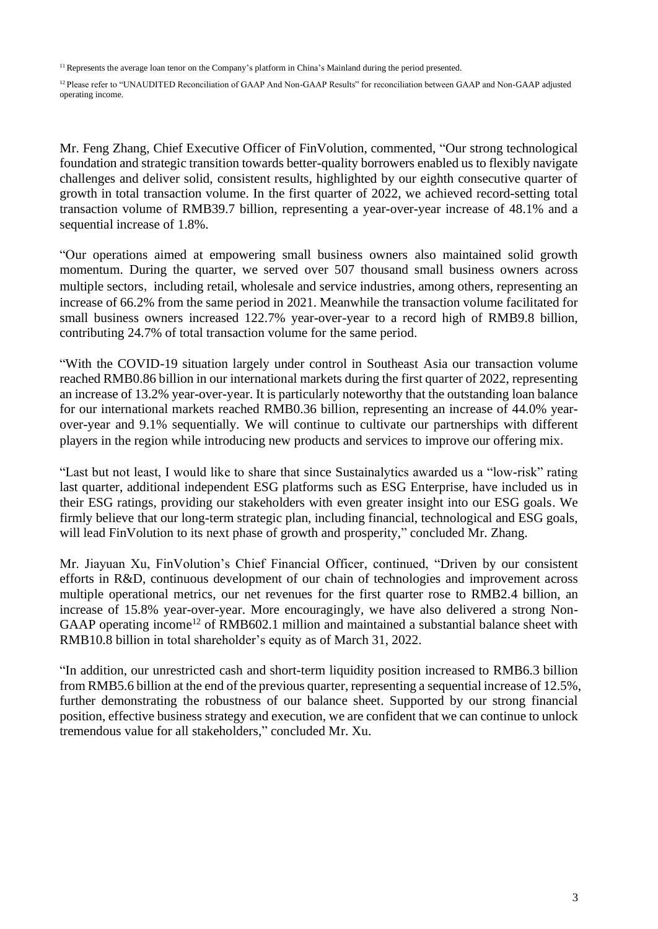<sup>11</sup> Represents the average loan tenor on the Company's platform in China's Mainland during the period presented.

<sup>12</sup> Please refer to "UNAUDITED Reconciliation of GAAP And Non-GAAP Results" for reconciliation between GAAP and Non-GAAP adjusted operating income.

Mr. Feng Zhang, Chief Executive Officer of FinVolution, commented, "Our strong technological foundation and strategic transition towards better-quality borrowers enabled us to flexibly navigate challenges and deliver solid, consistent results, highlighted by our eighth consecutive quarter of growth in total transaction volume. In the first quarter of 2022, we achieved record-setting total transaction volume of RMB39.7 billion, representing a year-over-year increase of 48.1% and a sequential increase of 1.8%.

"Our operations aimed at empowering small business owners also maintained solid growth momentum. During the quarter, we served over 507 thousand small business owners across multiple sectors, including retail, wholesale and service industries, among others, representing an increase of 66.2% from the same period in 2021. Meanwhile the transaction volume facilitated for small business owners increased 122.7% year-over-year to a record high of RMB9.8 billion, contributing 24.7% of total transaction volume for the same period.

"With the COVID-19 situation largely under control in Southeast Asia our transaction volume reached RMB0.86 billion in our international markets during the first quarter of 2022, representing an increase of 13.2% year-over-year. It is particularly noteworthy that the outstanding loan balance for our international markets reached RMB0.36 billion, representing an increase of 44.0% yearover-year and 9.1% sequentially. We will continue to cultivate our partnerships with different players in the region while introducing new products and services to improve our offering mix.

"Last but not least, I would like to share that since Sustainalytics awarded us a "low-risk" rating last quarter, additional independent ESG platforms such as ESG Enterprise, have included us in their ESG ratings, providing our stakeholders with even greater insight into our ESG goals. We firmly believe that our long-term strategic plan, including financial, technological and ESG goals, will lead FinVolution to its next phase of growth and prosperity," concluded Mr. Zhang.

Mr. Jiayuan Xu, FinVolution's Chief Financial Officer, continued, "Driven by our consistent efforts in R&D, continuous development of our chain of technologies and improvement across multiple operational metrics, our net revenues for the first quarter rose to RMB2.4 billion, an increase of 15.8% year-over-year. More encouragingly, we have also delivered a strong Non-GAAP operating income<sup>12</sup> of RMB602.1 million and maintained a substantial balance sheet with RMB10.8 billion in total shareholder's equity as of March 31, 2022.

"In addition, our unrestricted cash and short-term liquidity position increased to RMB6.3 billion from RMB5.6 billion at the end of the previous quarter, representing a sequential increase of 12.5%, further demonstrating the robustness of our balance sheet. Supported by our strong financial position, effective business strategy and execution, we are confident that we can continue to unlock tremendous value for all stakeholders," concluded Mr. Xu.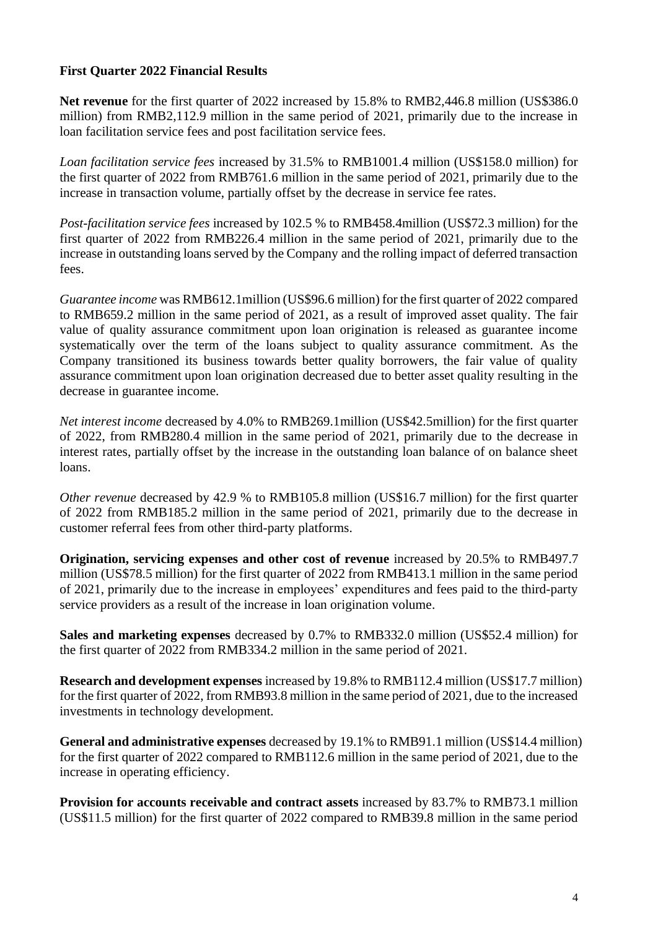## **First Quarter 2022 Financial Results**

Net revenue for the first quarter of 2022 increased by 15.8% to RMB2,446.8 million (US\$386.0) million) from RMB2,112.9 million in the same period of 2021, primarily due to the increase in loan facilitation service fees and post facilitation service fees.

*Loan facilitation service fees* increased by 31.5% to RMB1001.4 million (US\$158.0 million) for the first quarter of 2022 from RMB761.6 million in the same period of 2021, primarily due to the increase in transaction volume, partially offset by the decrease in service fee rates.

*Post-facilitation service fees* increased by 102.5 % to RMB458.4million (US\$72.3 million) for the first quarter of 2022 from RMB226.4 million in the same period of 2021, primarily due to the increase in outstanding loans served by the Company and the rolling impact of deferred transaction fees.

*Guarantee income* was RMB612.1million (US\$96.6 million) for the first quarter of 2022 compared to RMB659.2 million in the same period of 2021, as a result of improved asset quality. The fair value of quality assurance commitment upon loan origination is released as guarantee income systematically over the term of the loans subject to quality assurance commitment. As the Company transitioned its business towards better quality borrowers, the fair value of quality assurance commitment upon loan origination decreased due to better asset quality resulting in the decrease in guarantee income.

*Net interest income* decreased by 4.0% to RMB269.1million (US\$42.5million) for the first quarter of 2022, from RMB280.4 million in the same period of 2021, primarily due to the decrease in interest rates, partially offset by the increase in the outstanding loan balance of on balance sheet loans.

*Other revenue* decreased by 42.9 % to RMB105.8 million (US\$16.7 million) for the first quarter of 2022 from RMB185.2 million in the same period of 2021, primarily due to the decrease in customer referral fees from other third-party platforms.

**Origination, servicing expenses and other cost of revenue** increased by 20.5% to RMB497.7 million (US\$78.5 million) for the first quarter of 2022 from RMB413.1 million in the same period of 2021, primarily due to the increase in employees' expenditures and fees paid to the third-party service providers as a result of the increase in loan origination volume.

**Sales and marketing expenses** decreased by 0.7% to RMB332.0 million (US\$52.4 million) for the first quarter of 2022 from RMB334.2 million in the same period of 2021.

**Research and development expenses** increased by 19.8% to RMB112.4 million (US\$17.7 million) for the first quarter of 2022, from RMB93.8 million in the same period of 2021, due to the increased investments in technology development.

**General and administrative expenses** decreased by 19.1% to RMB91.1 million (US\$14.4 million) for the first quarter of 2022 compared to RMB112.6 million in the same period of 2021, due to the increase in operating efficiency.

**Provision for accounts receivable and contract assets** increased by 83.7% to RMB73.1 million (US\$11.5 million) for the first quarter of 2022 compared to RMB39.8 million in the same period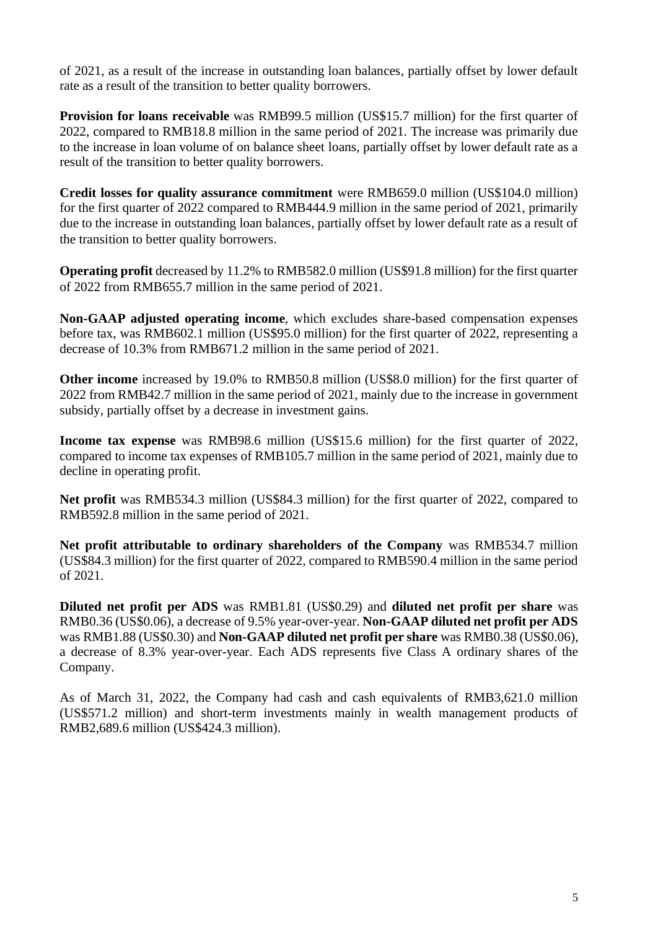of 2021, as a result of the increase in outstanding loan balances, partially offset by lower default rate as a result of the transition to better quality borrowers.

**Provision for loans receivable** was RMB99.5 million (US\$15.7 million) for the first quarter of 2022, compared to RMB18.8 million in the same period of 2021. The increase was primarily due to the increase in loan volume of on balance sheet loans, partially offset by lower default rate as a result of the transition to better quality borrowers.

**Credit losses for quality assurance commitment** were RMB659.0 million (US\$104.0 million) for the first quarter of 2022 compared to RMB444.9 million in the same period of 2021, primarily due to the increase in outstanding loan balances, partially offset by lower default rate as a result of the transition to better quality borrowers.

**Operating profit** decreased by 11.2% to RMB582.0 million (US\$91.8 million) for the first quarter of 2022 from RMB655.7 million in the same period of 2021.

**Non-GAAP adjusted operating income**, which excludes share-based compensation expenses before tax, was RMB602.1 million (US\$95.0 million) for the first quarter of 2022, representing a decrease of 10.3% from RMB671.2 million in the same period of 2021.

**Other income** increased by 19.0% to RMB50.8 million (US\$8.0 million) for the first quarter of 2022 from RMB42.7 million in the same period of 2021, mainly due to the increase in government subsidy, partially offset by a decrease in investment gains.

**Income tax expense** was RMB98.6 million (US\$15.6 million) for the first quarter of 2022, compared to income tax expenses of RMB105.7 million in the same period of 2021, mainly due to decline in operating profit.

**Net profit** was RMB534.3 million (US\$84.3 million) for the first quarter of 2022, compared to RMB592.8 million in the same period of 2021.

**Net profit attributable to ordinary shareholders of the Company** was RMB534.7 million (US\$84.3 million) for the first quarter of 2022, compared to RMB590.4 million in the same period of 2021.

**Diluted net profit per ADS** was RMB1.81 (US\$0.29) and **diluted net profit per share** was RMB0.36 (US\$0.06), a decrease of 9.5% year-over-year. **Non-GAAP diluted net profit per ADS** was RMB1.88 (US\$0.30) and **Non-GAAP diluted net profit per share** was RMB0.38 (US\$0.06), a decrease of 8.3% year-over-year. Each ADS represents five Class A ordinary shares of the Company.

As of March 31, 2022, the Company had cash and cash equivalents of RMB3,621.0 million (US\$571.2 million) and short-term investments mainly in wealth management products of RMB2,689.6 million (US\$424.3 million).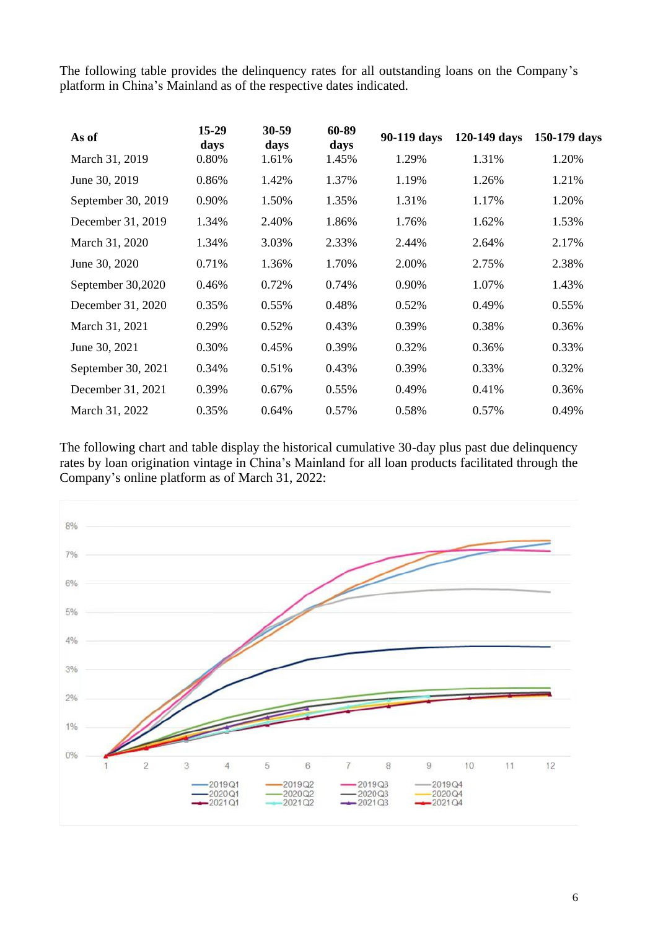The following table provides the delinquency rates for all outstanding loans on the Company's platform in China's Mainland as of the respective dates indicated.

| As of              | $15-29$<br>days | $30 - 59$<br>days | 60-89<br>days | 90-119 days | 120-149 days | 150-179 days |
|--------------------|-----------------|-------------------|---------------|-------------|--------------|--------------|
| March 31, 2019     | 0.80%           | 1.61%             | 1.45%         | 1.29%       | 1.31%        | 1.20%        |
| June 30, 2019      | 0.86%           | 1.42%             | 1.37%         | 1.19%       | 1.26%        | 1.21%        |
| September 30, 2019 | 0.90%           | 1.50%             | 1.35%         | 1.31%       | 1.17%        | 1.20%        |
| December 31, 2019  | 1.34%           | 2.40%             | 1.86%         | 1.76%       | 1.62%        | 1.53%        |
| March 31, 2020     | 1.34%           | 3.03%             | 2.33%         | 2.44%       | 2.64%        | 2.17%        |
| June 30, 2020      | 0.71%           | 1.36%             | 1.70%         | 2.00%       | 2.75%        | 2.38%        |
| September 30,2020  | 0.46%           | 0.72%             | 0.74%         | 0.90%       | 1.07%        | 1.43%        |
| December 31, 2020  | 0.35%           | 0.55%             | 0.48%         | 0.52%       | 0.49%        | 0.55%        |
| March 31, 2021     | 0.29%           | 0.52%             | 0.43%         | 0.39%       | 0.38%        | 0.36%        |
| June 30, 2021      | 0.30%           | 0.45%             | 0.39%         | 0.32%       | 0.36%        | 0.33%        |
| September 30, 2021 | 0.34%           | 0.51%             | 0.43%         | 0.39%       | 0.33%        | 0.32%        |
| December 31, 2021  | 0.39%           | $0.67\%$          | 0.55%         | 0.49%       | 0.41%        | 0.36%        |
| March 31, 2022     | 0.35%           | 0.64%             | 0.57%         | 0.58%       | 0.57%        | 0.49%        |

The following chart and table display the historical cumulative 30-day plus past due delinquency rates by loan origination vintage in China's Mainland for all loan products facilitated through the Company's online platform as of March 31, 2022:

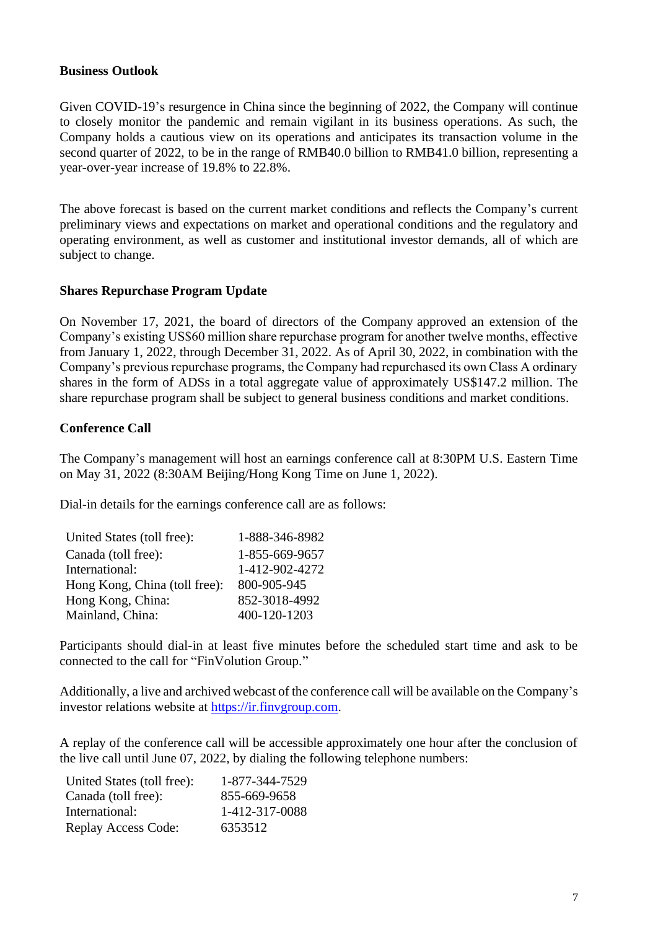## **Business Outlook**

Given COVID-19's resurgence in China since the beginning of 2022, the Company will continue to closely monitor the pandemic and remain vigilant in its business operations. As such, the Company holds a cautious view on its operations and anticipates its transaction volume in the second quarter of 2022, to be in the range of RMB40.0 billion to RMB41.0 billion, representing a year-over-year increase of 19.8% to 22.8%.

The above forecast is based on the current market conditions and reflects the Company's current preliminary views and expectations on market and operational conditions and the regulatory and operating environment, as well as customer and institutional investor demands, all of which are subject to change.

## **Shares Repurchase Program Update**

On November 17, 2021, the board of directors of the Company approved an extension of the Company's existing US\$60 million share repurchase program for another twelve months, effective from January 1, 2022, through December 31, 2022. As of April 30, 2022, in combination with the Company's previous repurchase programs, the Company had repurchased its own Class A ordinary shares in the form of ADSs in a total aggregate value of approximately US\$147.2 million. The share repurchase program shall be subject to general business conditions and market conditions.

## **Conference Call**

The Company's management will host an earnings conference call at 8:30PM U.S. Eastern Time on May 31, 2022 (8:30AM Beijing/Hong Kong Time on June 1, 2022).

Dial-in details for the earnings conference call are as follows:

| United States (toll free):    | 1-888-346-8982 |
|-------------------------------|----------------|
| Canada (toll free):           | 1-855-669-9657 |
| International:                | 1-412-902-4272 |
| Hong Kong, China (toll free): | 800-905-945    |
| Hong Kong, China:             | 852-3018-4992  |
| Mainland, China:              | 400-120-1203   |

Participants should dial-in at least five minutes before the scheduled start time and ask to be connected to the call for "FinVolution Group."

Additionally, a live and archived webcast of the conference call will be available on the Company's investor relations website at [https://ir.finvgroup.com.](https://ir.finvgroup.com/)

A replay of the conference call will be accessible approximately one hour after the conclusion of the live call until June 07, 2022, by dialing the following telephone numbers:

| United States (toll free): | 1-877-344-7529 |
|----------------------------|----------------|
| Canada (toll free):        | 855-669-9658   |
| International:             | 1-412-317-0088 |
| Replay Access Code:        | 6353512        |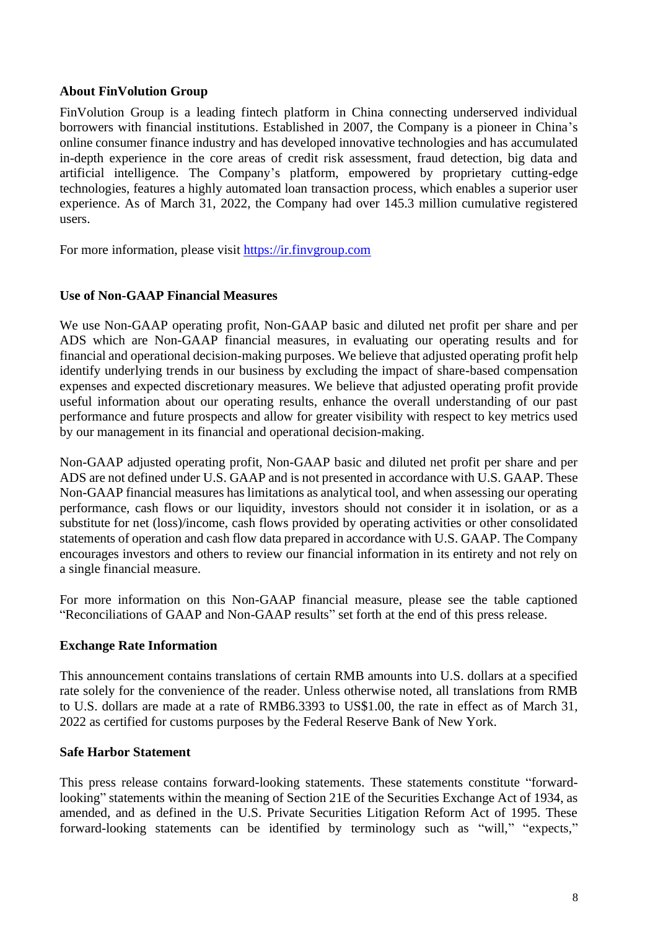## **About FinVolution Group**

FinVolution Group is a leading fintech platform in China connecting underserved individual borrowers with financial institutions. Established in 2007, the Company is a pioneer in China's online consumer finance industry and has developed innovative technologies and has accumulated in-depth experience in the core areas of credit risk assessment, fraud detection, big data and artificial intelligence. The Company's platform, empowered by proprietary cutting-edge technologies, features a highly automated loan transaction process, which enables a superior user experience. As of March 31, 2022, the Company had over 145.3 million cumulative registered users.

For more information, please visit [https://ir.finvgroup.com](https://ir.finvgroup.com/)

## **Use of Non-GAAP Financial Measures**

We use Non-GAAP operating profit, Non-GAAP basic and diluted net profit per share and per ADS which are Non-GAAP financial measures, in evaluating our operating results and for financial and operational decision-making purposes. We believe that adjusted operating profit help identify underlying trends in our business by excluding the impact of share-based compensation expenses and expected discretionary measures. We believe that adjusted operating profit provide useful information about our operating results, enhance the overall understanding of our past performance and future prospects and allow for greater visibility with respect to key metrics used by our management in its financial and operational decision-making.

Non-GAAP adjusted operating profit, Non-GAAP basic and diluted net profit per share and per ADS are not defined under U.S. GAAP and is not presented in accordance with U.S. GAAP. These Non-GAAP financial measures has limitations as analytical tool, and when assessing our operating performance, cash flows or our liquidity, investors should not consider it in isolation, or as a substitute for net (loss)/income, cash flows provided by operating activities or other consolidated statements of operation and cash flow data prepared in accordance with U.S. GAAP. The Company encourages investors and others to review our financial information in its entirety and not rely on a single financial measure.

For more information on this Non-GAAP financial measure, please see the table captioned "Reconciliations of GAAP and Non-GAAP results" set forth at the end of this press release.

## **Exchange Rate Information**

This announcement contains translations of certain RMB amounts into U.S. dollars at a specified rate solely for the convenience of the reader. Unless otherwise noted, all translations from RMB to U.S. dollars are made at a rate of RMB6.3393 to US\$1.00, the rate in effect as of March 31, 2022 as certified for customs purposes by the Federal Reserve Bank of New York.

#### **Safe Harbor Statement**

This press release contains forward-looking statements. These statements constitute "forwardlooking" statements within the meaning of Section 21E of the Securities Exchange Act of 1934, as amended, and as defined in the U.S. Private Securities Litigation Reform Act of 1995. These forward-looking statements can be identified by terminology such as "will," "expects,"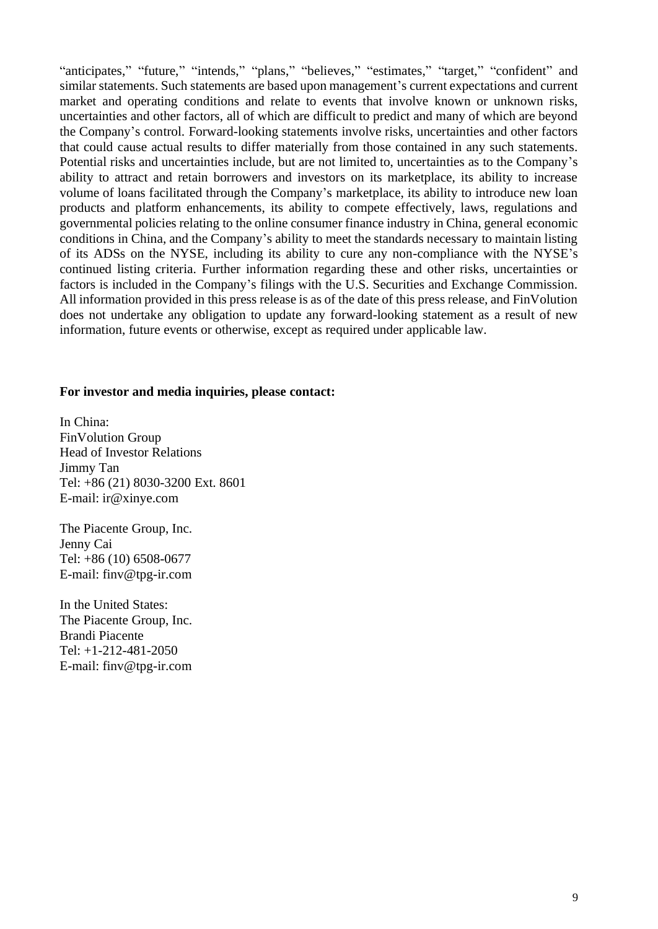"anticipates," "future," "intends," "plans," "believes," "estimates," "target," "confident" and similar statements. Such statements are based upon management's current expectations and current market and operating conditions and relate to events that involve known or unknown risks, uncertainties and other factors, all of which are difficult to predict and many of which are beyond the Company's control. Forward-looking statements involve risks, uncertainties and other factors that could cause actual results to differ materially from those contained in any such statements. Potential risks and uncertainties include, but are not limited to, uncertainties as to the Company's ability to attract and retain borrowers and investors on its marketplace, its ability to increase volume of loans facilitated through the Company's marketplace, its ability to introduce new loan products and platform enhancements, its ability to compete effectively, laws, regulations and governmental policies relating to the online consumer finance industry in China, general economic conditions in China, and the Company's ability to meet the standards necessary to maintain listing of its ADSs on the NYSE, including its ability to cure any non-compliance with the NYSE's continued listing criteria. Further information regarding these and other risks, uncertainties or factors is included in the Company's filings with the U.S. Securities and Exchange Commission. All information provided in this press release is as of the date of this press release, and FinVolution does not undertake any obligation to update any forward-looking statement as a result of new information, future events or otherwise, except as required under applicable law.

#### **For investor and media inquiries, please contact:**

In China: FinVolution Group Head of Investor Relations Jimmy Tan Tel: +86 (21) 8030-3200 Ext. 8601 E-mail: ir@xinye.com

The Piacente Group, Inc. Jenny Cai Tel: +86 (10) 6508-0677 E-mail: finv@tpg-ir.com

In the United States: The Piacente Group, Inc. Brandi Piacente Tel: +1-212-481-2050 E-mail: finv@tpg-ir.com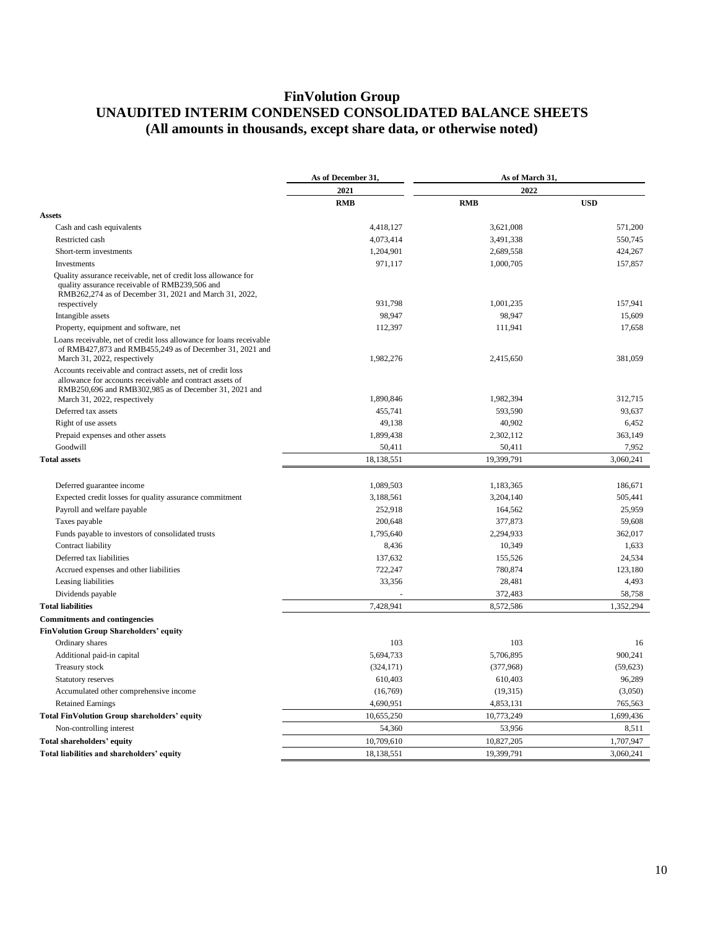## **FinVolution Group UNAUDITED INTERIM CONDENSED CONSOLIDATED BALANCE SHEETS (All amounts in thousands, except share data, or otherwise noted)**

|                                                                                                                                                                                                                  | As of December 31, | As of March 31, |            |  |
|------------------------------------------------------------------------------------------------------------------------------------------------------------------------------------------------------------------|--------------------|-----------------|------------|--|
|                                                                                                                                                                                                                  | 2021               | 2022            |            |  |
|                                                                                                                                                                                                                  | <b>RMB</b>         | <b>RMB</b>      | <b>USD</b> |  |
| Assets                                                                                                                                                                                                           |                    |                 |            |  |
| Cash and cash equivalents                                                                                                                                                                                        | 4,418,127          | 3,621,008       | 571,200    |  |
| Restricted cash                                                                                                                                                                                                  | 4,073,414          | 3,491,338       | 550,745    |  |
| Short-term investments                                                                                                                                                                                           | 1,204,901          | 2,689,558       | 424,267    |  |
| Investments                                                                                                                                                                                                      | 971,117            | 1,000,705       | 157,857    |  |
| Quality assurance receivable, net of credit loss allowance for<br>quality assurance receivable of RMB239,506 and<br>RMB262,274 as of December 31, 2021 and March 31, 2022,                                       |                    |                 |            |  |
| respectively                                                                                                                                                                                                     | 931,798            | 1,001,235       | 157,941    |  |
| Intangible assets                                                                                                                                                                                                | 98,947             | 98,947          | 15,609     |  |
| Property, equipment and software, net                                                                                                                                                                            | 112,397            | 111,941         | 17,658     |  |
| Loans receivable, net of credit loss allowance for loans receivable<br>of RMB427,873 and RMB455,249 as of December 31, 2021 and<br>March 31, 2022, respectively                                                  | 1,982,276          | 2,415,650       | 381,059    |  |
| Accounts receivable and contract assets, net of credit loss<br>allowance for accounts receivable and contract assets of<br>RMB250,696 and RMB302,985 as of December 31, 2021 and<br>March 31, 2022, respectively | 1,890,846          | 1,982,394       | 312,715    |  |
| Deferred tax assets                                                                                                                                                                                              | 455,741            | 593,590         | 93,637     |  |
| Right of use assets                                                                                                                                                                                              | 49,138             | 40,902          | 6,452      |  |
| Prepaid expenses and other assets                                                                                                                                                                                | 1,899,438          | 2,302,112       | 363,149    |  |
| Goodwill                                                                                                                                                                                                         | 50,411             | 50,411          | 7,952      |  |
| <b>Total assets</b>                                                                                                                                                                                              | 18,138,551         | 19,399,791      | 3,060,241  |  |
| Deferred guarantee income                                                                                                                                                                                        | 1,089,503          | 1,183,365       | 186,671    |  |
| Expected credit losses for quality assurance commitment                                                                                                                                                          | 3,188,561          | 3,204,140       | 505,441    |  |
| Payroll and welfare payable                                                                                                                                                                                      | 252,918            | 164,562         | 25,959     |  |
| Taxes payable                                                                                                                                                                                                    | 200,648            | 377,873         | 59,608     |  |
| Funds payable to investors of consolidated trusts                                                                                                                                                                | 1,795,640          | 2,294,933       | 362,017    |  |
| Contract liability                                                                                                                                                                                               | 8,436              | 10,349          | 1,633      |  |
| Deferred tax liabilities                                                                                                                                                                                         | 137,632            | 155,526         | 24,534     |  |
| Accrued expenses and other liabilities                                                                                                                                                                           | 722,247            | 780,874         | 123,180    |  |
| Leasing liabilities                                                                                                                                                                                              | 33,356             | 28,481          | 4,493      |  |
| Dividends payable                                                                                                                                                                                                |                    | 372,483         | 58,758     |  |
| <b>Total liabilities</b>                                                                                                                                                                                         | 7,428,941          | 8,572,586       | 1,352,294  |  |
| <b>Commitments and contingencies</b>                                                                                                                                                                             |                    |                 |            |  |
| FinVolution Group Shareholders' equity                                                                                                                                                                           |                    |                 |            |  |
| Ordinary shares                                                                                                                                                                                                  | 103                | 103             | 16         |  |
| Additional paid-in capital                                                                                                                                                                                       | 5,694,733          | 5,706,895       | 900,241    |  |
| Treasury stock                                                                                                                                                                                                   | (324, 171)         | (377,968)       | (59, 623)  |  |
| Statutory reserves                                                                                                                                                                                               | 610,403            | 610,403         | 96,289     |  |
| Accumulated other comprehensive income                                                                                                                                                                           | (16,769)           | (19,315)        | (3,050)    |  |
| <b>Retained Earnings</b>                                                                                                                                                                                         | 4,690,951          | 4,853,131       | 765,563    |  |
| <b>Total FinVolution Group shareholders' equity</b>                                                                                                                                                              | 10,655,250         | 10,773,249      | 1,699,436  |  |
| Non-controlling interest                                                                                                                                                                                         | 54,360             | 53,956          | 8,511      |  |
| <b>Total shareholders' equity</b>                                                                                                                                                                                | 10,709,610         | 10,827,205      | 1,707,947  |  |
|                                                                                                                                                                                                                  |                    |                 |            |  |
| Total liabilities and shareholders' equity                                                                                                                                                                       | 18,138,551         | 19,399,791      | 3,060,241  |  |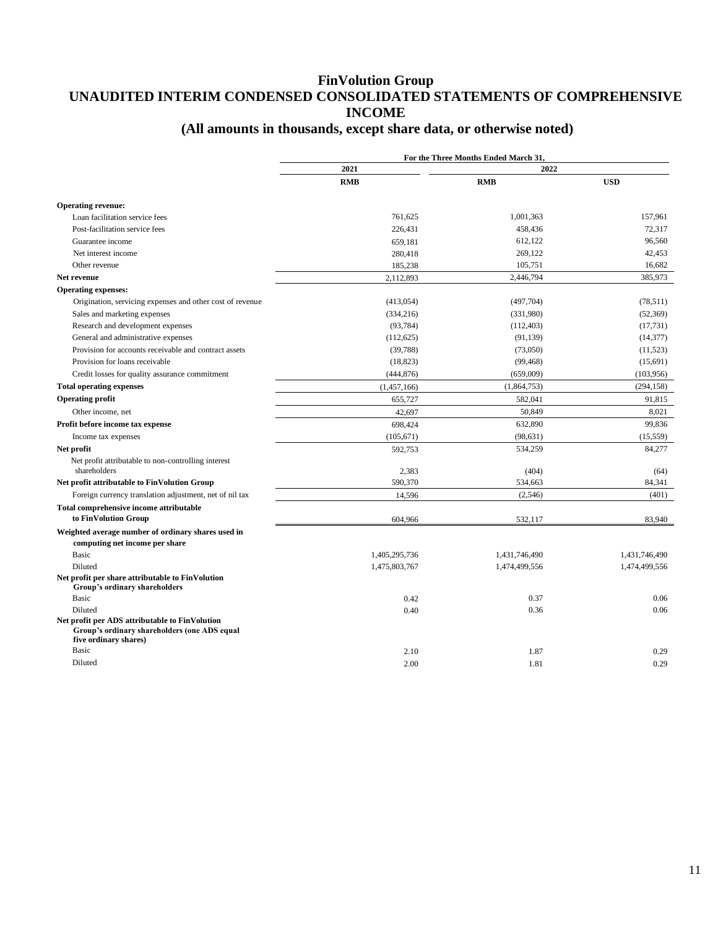# **FinVolution Group UNAUDITED INTERIM CONDENSED CONSOLIDATED STATEMENTS OF COMPREHENSIVE INCOME**

## **(All amounts in thousands, except share data, or otherwise noted)**

|                                                                                                                         | For the Three Months Ended March 31, |               |               |
|-------------------------------------------------------------------------------------------------------------------------|--------------------------------------|---------------|---------------|
|                                                                                                                         | 2021                                 | 2022          |               |
|                                                                                                                         | <b>RMB</b>                           | <b>RMB</b>    | <b>USD</b>    |
| <b>Operating revenue:</b>                                                                                               |                                      |               |               |
| Loan facilitation service fees                                                                                          | 761,625                              | 1,001,363     | 157,961       |
| Post-facilitation service fees                                                                                          | 226,431                              | 458,436       | 72,317        |
| Guarantee income                                                                                                        | 659,181                              | 612,122       | 96,560        |
| Net interest income                                                                                                     | 280,418                              | 269,122       | 42,453        |
| Other revenue                                                                                                           | 185,238                              | 105,751       | 16,682        |
| Net revenue                                                                                                             | 2,112,893                            | 2,446,794     | 385,973       |
| <b>Operating expenses:</b>                                                                                              |                                      |               |               |
| Origination, servicing expenses and other cost of revenue                                                               | (413, 054)                           | (497,704)     | (78,511)      |
| Sales and marketing expenses                                                                                            | (334, 216)                           | (331,980)     | (52, 369)     |
| Research and development expenses                                                                                       | (93, 784)                            | (112, 403)    | (17, 731)     |
| General and administrative expenses                                                                                     | (112, 625)                           | (91, 139)     | (14, 377)     |
| Provision for accounts receivable and contract assets                                                                   | (39, 788)                            | (73,050)      | (11,523)      |
| Provision for loans receivable                                                                                          | (18, 823)                            | (99, 468)     | (15,691)      |
| Credit losses for quality assurance commitment                                                                          | (444, 876)                           | (659,009)     | (103,956)     |
| <b>Total operating expenses</b>                                                                                         | (1,457,166)                          | (1,864,753)   | (294, 158)    |
| <b>Operating profit</b>                                                                                                 | 655,727                              | 582,041       | 91,815        |
| Other income, net                                                                                                       | 42,697                               | 50,849        | 8,021         |
| Profit before income tax expense                                                                                        | 698,424                              | 632,890       | 99,836        |
| Income tax expenses                                                                                                     | (105, 671)                           | (98, 631)     | (15, 559)     |
| Net profit                                                                                                              | 592,753                              | 534,259       | 84,277        |
| Net profit attributable to non-controlling interest<br>shareholders                                                     | 2.383                                | (404)         | (64)          |
| Net profit attributable to FinVolution Group                                                                            | 590,370                              | 534,663       | 84,341        |
| Foreign currency translation adjustment, net of nil tax                                                                 | 14,596                               | (2,546)       | (401)         |
| Total comprehensive income attributable<br>to FinVolution Group                                                         | 604,966                              | 532,117       | 83.940        |
| Weighted average number of ordinary shares used in<br>computing net income per share                                    |                                      |               |               |
| Basic                                                                                                                   | 1,405,295,736                        | 1,431,746,490 | 1,431,746,490 |
| Diluted                                                                                                                 | 1,475,803,767                        | 1,474,499,556 | 1,474,499,556 |
| Net profit per share attributable to FinVolution<br>Group's ordinary shareholders                                       |                                      |               |               |
| Basic                                                                                                                   | 0.42                                 | 0.37          | 0.06          |
| Diluted                                                                                                                 | 0.40                                 | 0.36          | 0.06          |
| Net profit per ADS attributable to FinVolution<br>Group's ordinary shareholders (one ADS equal<br>five ordinary shares) |                                      |               |               |
| Basic                                                                                                                   | 2.10                                 | 1.87          | 0.29          |
| Diluted                                                                                                                 | 2.00                                 | 1.81          | 0.29          |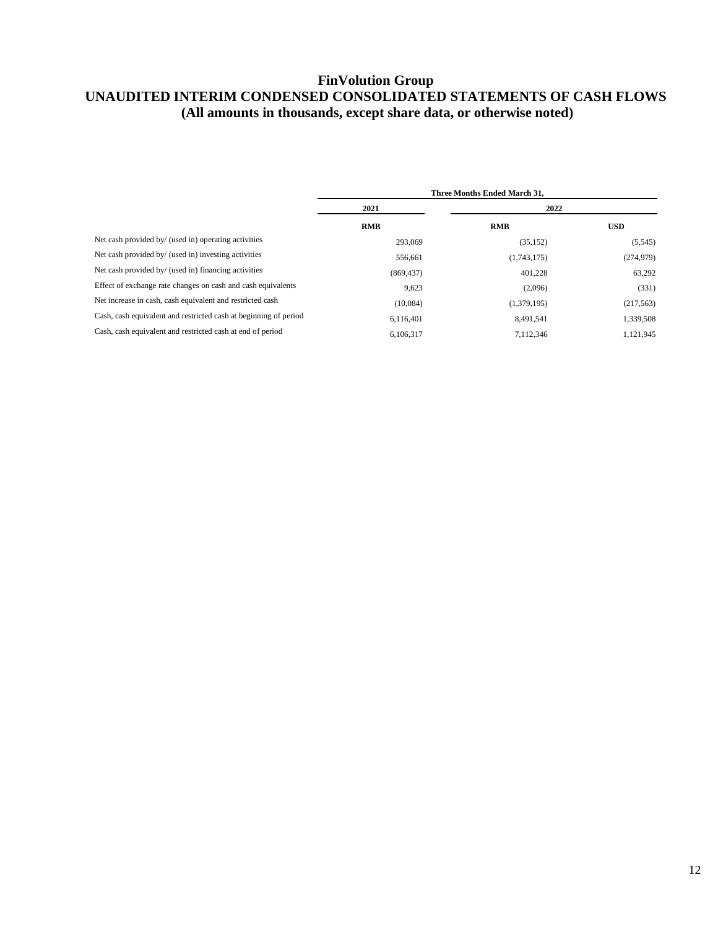#### **FinVolution Group UNAUDITED INTERIM CONDENSED CONSOLIDATED STATEMENTS OF CASH FLOWS (All amounts in thousands, except share data, or otherwise noted)**

|                                                                  | <b>Three Months Ended March 31.</b> |             |            |
|------------------------------------------------------------------|-------------------------------------|-------------|------------|
|                                                                  | 2021                                | 2022        |            |
|                                                                  | <b>RMB</b>                          | <b>RMB</b>  | <b>USD</b> |
| Net cash provided by/ (used in) operating activities             | 293,069                             | (35, 152)   | (5,545)    |
| Net cash provided by/ (used in) investing activities             | 556,661                             | (1,743,175) | (274, 979) |
| Net cash provided by/ (used in) financing activities             | (869, 437)                          | 401.228     | 63,292     |
| Effect of exchange rate changes on cash and cash equivalents     | 9,623                               | (2,096)     | (331)      |
| Net increase in cash, cash equivalent and restricted cash        | (10,084)                            | (1,379,195) | (217, 563) |
| Cash, cash equivalent and restricted cash at beginning of period | 6.116.401                           | 8.491.541   | 1,339,508  |
| Cash, cash equivalent and restricted cash at end of period       | 6.106.317                           | 7,112,346   | 1,121,945  |